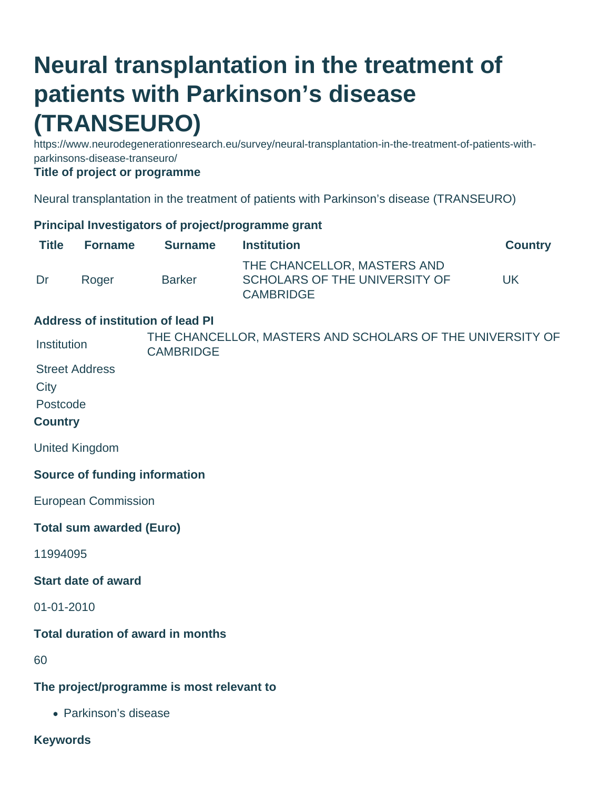## **Neural transplantation in the treatment of patients with Parkinson's disease (TRANSEURO)**

https://www.neurodegenerationresearch.eu/survey/neural-transplantation-in-the-treatment-of-patients-withparkinsons-disease-transeuro/

**Title of project or programme**

Neural transplantation in the treatment of patients with Parkinson's disease (TRANSEURO)

## **Principal Investigators of project/programme grant**

| <b>Title</b>   | <b>Forname</b>                  | <b>Surname</b>                            | <b>Institution</b>                                                               | <b>Country</b> |
|----------------|---------------------------------|-------------------------------------------|----------------------------------------------------------------------------------|----------------|
| Dr             | Roger                           | <b>Barker</b>                             | THE CHANCELLOR, MASTERS AND<br>SCHOLARS OF THE UNIVERSITY OF<br><b>CAMBRIDGE</b> | <b>UK</b>      |
|                |                                 | <b>Address of institution of lead PI</b>  |                                                                                  |                |
| Institution    |                                 | <b>CAMBRIDGE</b>                          | THE CHANCELLOR, MASTERS AND SCHOLARS OF THE UNIVERSITY OF                        |                |
|                | <b>Street Address</b>           |                                           |                                                                                  |                |
| City           |                                 |                                           |                                                                                  |                |
| Postcode       |                                 |                                           |                                                                                  |                |
| <b>Country</b> |                                 |                                           |                                                                                  |                |
|                | <b>United Kingdom</b>           |                                           |                                                                                  |                |
|                |                                 | <b>Source of funding information</b>      |                                                                                  |                |
|                | <b>European Commission</b>      |                                           |                                                                                  |                |
|                | <b>Total sum awarded (Euro)</b> |                                           |                                                                                  |                |
| 11994095       |                                 |                                           |                                                                                  |                |
|                | <b>Start date of award</b>      |                                           |                                                                                  |                |
| 01-01-2010     |                                 |                                           |                                                                                  |                |
|                |                                 | <b>Total duration of award in months</b>  |                                                                                  |                |
| 60             |                                 |                                           |                                                                                  |                |
|                |                                 | The project/programme is mest relevant to |                                                                                  |                |

**The project/programme is most relevant to**

Parkinson's disease

**Keywords**